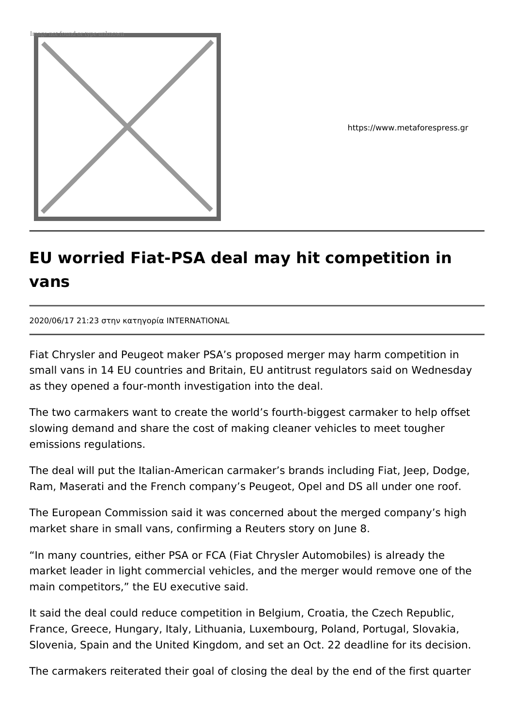

https://www.metaforespress.gr

## **EU worried Fiat-PSA deal may hit competition in vans**

2020/06/17 21:23 στην κατηγορία INTERNATIONAL

Fiat Chrysler and Peugeot maker PSA's proposed merger may harm competition in small vans in 14 EU countries and Britain, EU antitrust regulators said on Wednesday as they opened a four-month investigation into the deal.

The two carmakers want to create the world's fourth-biggest carmaker to help offset slowing demand and share the cost of making cleaner vehicles to meet tougher emissions regulations.

The deal will put the Italian-American carmaker's brands including Fiat, Jeep, Dodge, Ram, Maserati and the French company's Peugeot, Opel and DS all under one roof.

The European Commission said it was concerned about the merged company's high market share in small vans, confirming a Reuters story on June 8.

"In many countries, either PSA or FCA (Fiat Chrysler Automobiles) is already the market leader in light commercial vehicles, and the merger would remove one of the main competitors," the EU executive said.

It said the deal could reduce competition in Belgium, Croatia, the Czech Republic, France, Greece, Hungary, Italy, Lithuania, Luxembourg, Poland, Portugal, Slovakia, Slovenia, Spain and the United Kingdom, and set an Oct. 22 deadline for its decision.

The carmakers reiterated their goal of closing the deal by the end of the first quarter